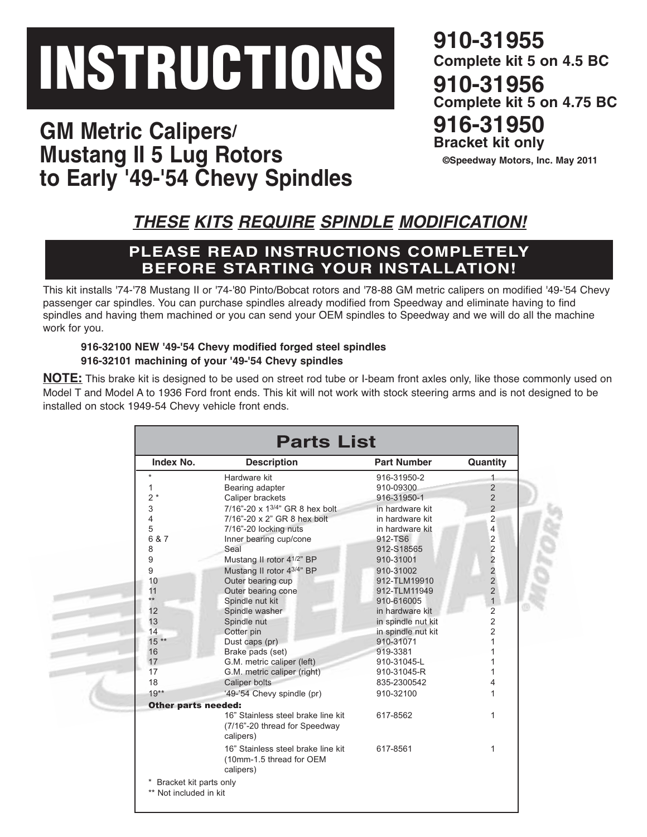# **INSTRUCTIONS**

**GM Metric Calipers/ Mustang II 5 Lug Rotors to Early '49-'54 Chevy Spindles**

**910-31955 Complete kit 5 on 4.5 BC 910-31956 Complete kit 5 on 4.75 BC 916-31950 Bracket kit only**

**©Speedway Motors, Inc. May 2011**

## *THESE KITS REQUIRE SPINDLE MODIFICATION!*

### **PLEASE READ INSTRUCTIONS COMPLETELY BEFORE STARTING YOUR INSTALLATION!**

This kit installs '74-'78 Mustang II or '74-'80 Pinto/Bobcat rotors and '78-88 GM metric calipers on modified '49-'54 Chevy passenger car spindles. You can purchase spindles already modified from Speedway and eliminate having to find spindles and having them machined or you can send your OEM spindles to Speedway and we will do all the machine work for you.

#### **916-32100 NEW '49-'54 Chevy modified forged steel spindles 916-32101 machining of your '49-'54 Chevy spindles**

**NOTE:** This brake kit is designed to be used on street rod tube or I-beam front axles only, like those commonly used on Model T and Model A to 1936 Ford front ends. This kit will not work with stock steering arms and is not designed to be installed on stock 1949-54 Chevy vehicle front ends.

| Index No.                  | <b>Description</b>                                                               | <b>Part Number</b> | Quantity       |
|----------------------------|----------------------------------------------------------------------------------|--------------------|----------------|
| $\star$                    | Hardware kit                                                                     | 916-31950-2        | $\mathbf{1}$   |
| $\mathbf{1}$               | Bearing adapter                                                                  | 910-09300          | $\overline{2}$ |
| $2*$                       | Caliper brackets                                                                 | 916-31950-1        | $\overline{2}$ |
| 3                          | 7/16"-20 x 13/4" GR 8 hex bolt                                                   | in hardware kit    | $\overline{2}$ |
| $\overline{\mathcal{L}}$   | 7/16"-20 x 2" GR 8 hex bolt                                                      | in hardware kit    | $\overline{2}$ |
| 5                          | 7/16"-20 locking nuts                                                            | in hardware kit    | $\overline{4}$ |
| 6 & 7                      | Inner bearing cup/cone                                                           | 912-TS6            | $\overline{2}$ |
| 8                          | Seal                                                                             | 912-S18565         | $\overline{2}$ |
| 9                          | Mustang II rotor 41/2" BP                                                        | 910-31001          | $\overline{2}$ |
| 9                          | Mustang II rotor 43/4" BP                                                        | 910-31002          | $\overline{2}$ |
| 10                         | Outer bearing cup                                                                | 912-TLM19910       | $\overline{2}$ |
| 11                         | Outer bearing cone                                                               | 912-TLM11949       | $\overline{2}$ |
| $**$                       | Spindle nut kit                                                                  | 910-616005         | $\mathbf{1}$   |
| 12                         | Spindle washer                                                                   | in hardware kit    | $\overline{c}$ |
| 13                         | Spindle nut                                                                      | in spindle nut kit | $\overline{2}$ |
| 14                         | Cotter pin                                                                       | in spindle nut kit | $\overline{2}$ |
| $15**$                     | Dust caps (pr)                                                                   | 910-31071          | 1              |
| 16                         | Brake pads (set)                                                                 | 919-3381           | 1              |
| 17                         | G.M. metric caliper (left)                                                       | 910-31045-L        | 1              |
| 17                         | G.M. metric caliper (right)                                                      | 910-31045-R        | 1              |
| 18                         | Caliper bolts                                                                    | 835-2300542        | 4              |
| $19**$                     | '49-'54 Chevy spindle (pr)                                                       | 910-32100          | 1              |
| <b>Other parts needed:</b> |                                                                                  |                    |                |
|                            | 16" Stainless steel brake line kit<br>(7/16"-20 thread for Speedway<br>calipers) | 617-8562           | 1              |
|                            | 16" Stainless steel brake line kit<br>(10mm-1.5 thread for OEM<br>calipers)      | 617-8561           | 1              |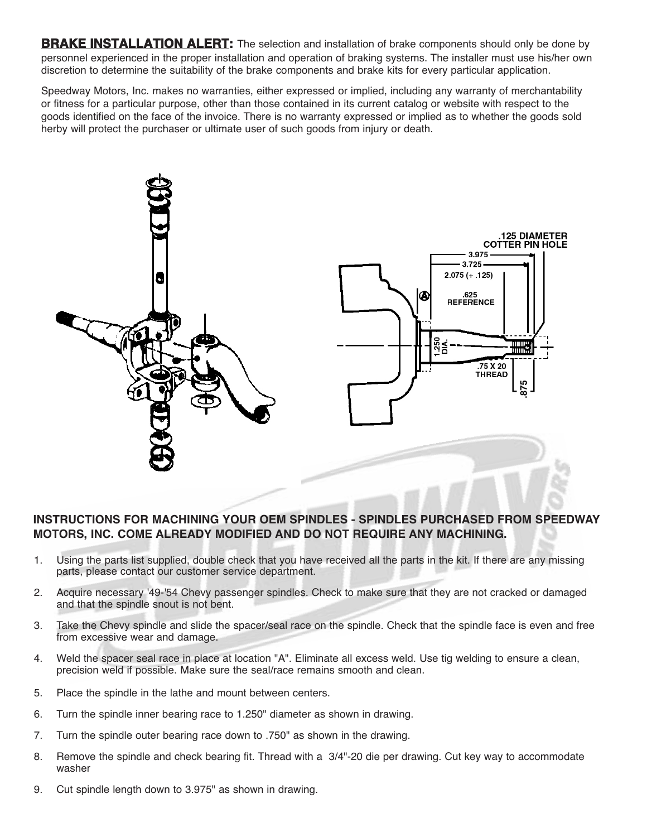**BRAKE INSTALLATION ALERT:** The selection and installation of brake components should only be done by personnel experienced in the proper installation and operation of braking systems. The installer must use his/her own discretion to determine the suitability of the brake components and brake kits for every particular application.

Speedway Motors, Inc. makes no warranties, either expressed or implied, including any warranty of merchantability or fitness for a particular purpose, other than those contained in its current catalog or website with respect to the goods identified on the face of the invoice. There is no warranty expressed or implied as to whether the goods sold herby will protect the purchaser or ultimate user of such goods from injury or death.



#### **INSTRUCTIONS FOR MACHINING YOUR OEM SPINDLES - SPINDLES PURCHASED FROM SPEEDWAY MOTORS, INC. COME ALREADY MODIFIED AND DO NOT REQUIRE ANY MACHINING.**

- 1. Using the parts list supplied, double check that you have received all the parts in the kit. If there are any missing parts, please contact our customer service department.
- 2. Acquire necessary '49-'54 Chevy passenger spindles. Check to make sure that they are not cracked or damaged and that the spindle snout is not bent.
- 3. Take the Chevy spindle and slide the spacer/seal race on the spindle. Check that the spindle face is even and free from excessive wear and damage.
- 4. Weld the spacer seal race in place at location "A". Eliminate all excess weld. Use tig welding to ensure a clean, precision weld if possible. Make sure the seal/race remains smooth and clean.
- 5. Place the spindle in the lathe and mount between centers.
- 6. Turn the spindle inner bearing race to 1.250" diameter as shown in drawing.
- 7. Turn the spindle outer bearing race down to .750" as shown in the drawing.
- 8. Remove the spindle and check bearing fit. Thread with a 3/4"-20 die per drawing. Cut key way to accommodate washer
- 9. Cut spindle length down to 3.975" as shown in drawing.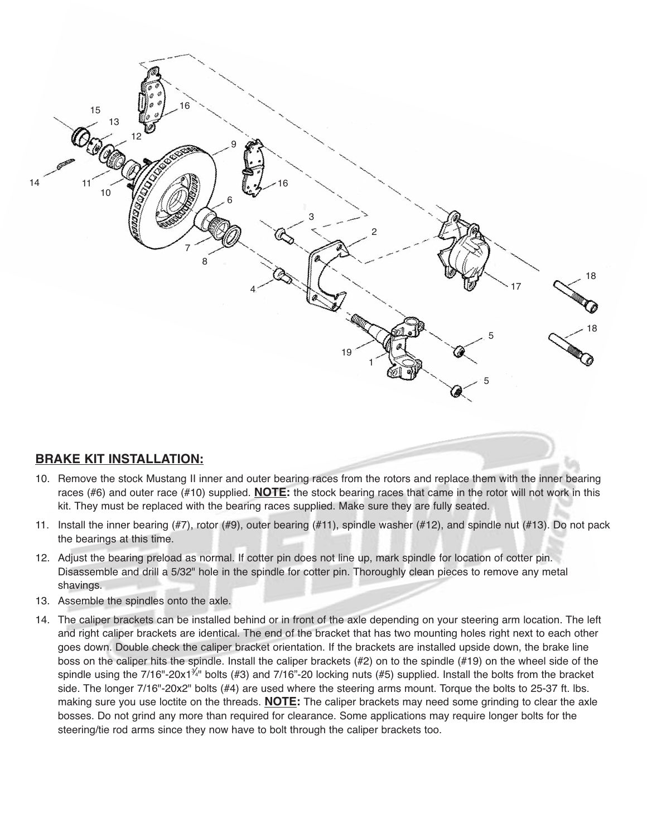

#### **BRAKE KIT INSTALLATION:**

- 10. Remove the stock Mustang II inner and outer bearing races from the rotors and replace them with the inner bearing races (#6) and outer race (#10) supplied. **NOTE:** the stock bearing races that came in the rotor will not work in this kit. They must be replaced with the bearing races supplied. Make sure they are fully seated.
- 11. Install the inner bearing (#7), rotor (#9), outer bearing (#11), spindle washer (#12), and spindle nut (#13). Do not pack the bearings at this time.
- 12. Adjust the bearing preload as normal. If cotter pin does not line up, mark spindle for location of cotter pin. Disassemble and drill a 5/32" hole in the spindle for cotter pin. Thoroughly clean pieces to remove any metal shavings.
- 13. Assemble the spindles onto the axle.
- 14. The caliper brackets can be installed behind or in front of the axle depending on your steering arm location. The left and right caliper brackets are identical. The end of the bracket that has two mounting holes right next to each other goes down. Double check the caliper bracket orientation. If the brackets are installed upside down, the brake line boss on the caliper hits the spindle. Install the caliper brackets (#2) on to the spindle (#19) on the wheel side of the spindle using the 7/16"-20x1<sup> $\hat{A}$ </sup>" bolts (#3) and 7/16"-20 locking nuts (#5) supplied. Install the bolts from the bracket side. The longer 7/16"-20x2" bolts (#4) are used where the steering arms mount. Torque the bolts to 25-37 ft. lbs. making sure you use loctite on the threads. **NOTE:** The caliper brackets may need some grinding to clear the axle bosses. Do not grind any more than required for clearance. Some applications may require longer bolts for the steering/tie rod arms since they now have to bolt through the caliper brackets too.